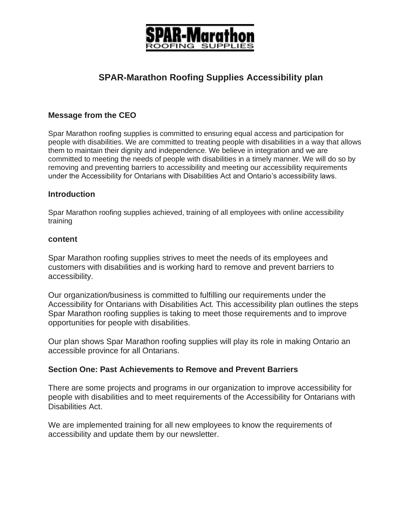

# **SPAR-Marathon Roofing Supplies Accessibility plan**

## **Message from the CEO**

Spar Marathon roofing supplies is committed to ensuring equal access and participation for people with disabilities. We are committed to treating people with disabilities in a way that allows them to maintain their dignity and independence. We believe in integration and we are committed to meeting the needs of people with disabilities in a timely manner. We will do so by removing and preventing barriers to accessibility and meeting our accessibility requirements under the Accessibility for Ontarians with Disabilities Act and Ontario's accessibility laws.

#### **Introduction**

Spar Marathon roofing supplies achieved, training of all employees with online accessibility training

#### **content**

Spar Marathon roofing supplies strives to meet the needs of its employees and customers with disabilities and is working hard to remove and prevent barriers to accessibility.

Our organization/business is committed to fulfilling our requirements under the Accessibility for Ontarians with Disabilities Act. This accessibility plan outlines the steps Spar Marathon roofing supplies is taking to meet those requirements and to improve opportunities for people with disabilities.

Our plan shows Spar Marathon roofing supplies will play its role in making Ontario an accessible province for all Ontarians.

## **Section One: Past Achievements to Remove and Prevent Barriers**

There are some projects and programs in our organization to improve accessibility for people with disabilities and to meet requirements of the Accessibility for Ontarians with Disabilities Act.

We are implemented training for all new employees to know the requirements of accessibility and update them by our newsletter.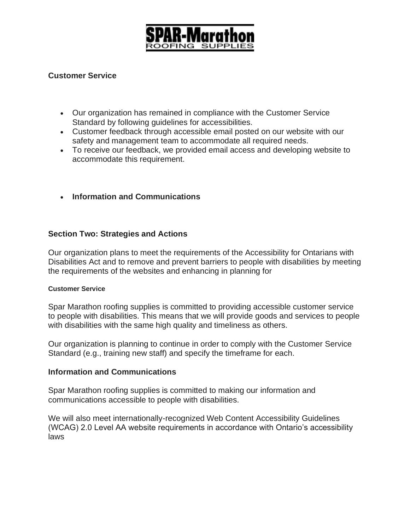

# **Customer Service**

- Our organization has remained in compliance with the Customer Service Standard by following guidelines for accessibilities.
- Customer feedback through accessible email posted on our website with our safety and management team to accommodate all required needs.
- To receive our feedback, we provided email access and developing website to accommodate this requirement.
- **Information and Communications**

# **Section Two: Strategies and Actions**

Our organization plans to meet the requirements of the Accessibility for Ontarians with Disabilities Act and to remove and prevent barriers to people with disabilities by meeting the requirements of the websites and enhancing in planning for

#### **Customer Service**

Spar Marathon roofing supplies is committed to providing accessible customer service to people with disabilities. This means that we will provide goods and services to people with disabilities with the same high quality and timeliness as others.

Our organization is planning to continue in order to comply with the Customer Service Standard (e.g., training new staff) and specify the timeframe for each.

## **Information and Communications**

Spar Marathon roofing supplies is committed to making our information and communications accessible to people with disabilities.

We will also meet internationally-recognized Web Content Accessibility Guidelines (WCAG) 2.0 Level AA website requirements in accordance with Ontario's accessibility laws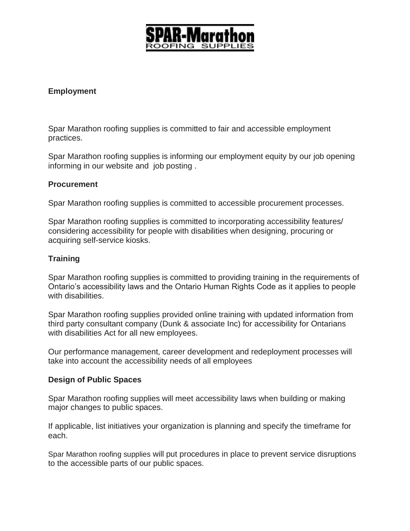

# **Employment**

Spar Marathon roofing supplies is committed to fair and accessible employment practices.

Spar Marathon roofing supplies is informing our employment equity by our job opening informing in our website and job posting .

### **Procurement**

Spar Marathon roofing supplies is committed to accessible procurement processes.

Spar Marathon roofing supplies is committed to incorporating accessibility features/ considering accessibility for people with disabilities when designing, procuring or acquiring self-service kiosks.

## **Training**

Spar Marathon roofing supplies is committed to providing training in the requirements of Ontario's accessibility laws and the Ontario Human Rights Code as it applies to people with disabilities.

Spar Marathon roofing supplies provided online training with updated information from third party consultant company (Dunk & associate Inc) for accessibility for Ontarians with disabilities Act for all new employees.

Our performance management, career development and redeployment processes will take into account the accessibility needs of all employees

#### **Design of Public Spaces**

Spar Marathon roofing supplies will meet accessibility laws when building or making major changes to public spaces.

If applicable, list initiatives your organization is planning and specify the timeframe for each.

Spar Marathon roofing supplies will put procedures in place to prevent service disruptions to the accessible parts of our public spaces.